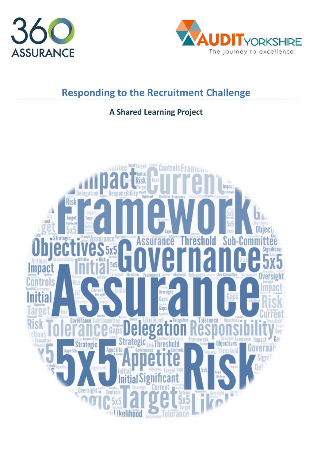



# **Responding to the Recruitment Challenge**

## **A Shared Learning Project**

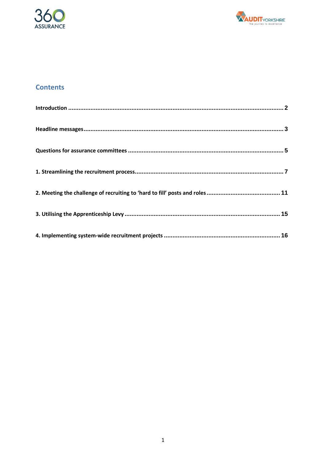



## **Contents**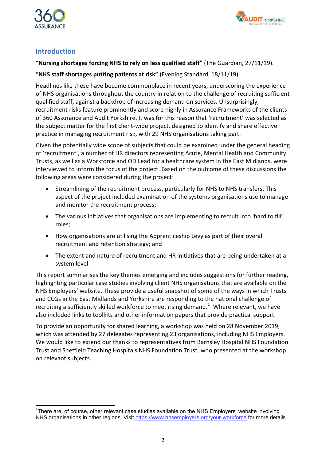



## <span id="page-2-0"></span>**Introduction**

### "**Nursing shortages forcing NHS to rely on less qualified staff**" (The Guardian, 27/11/19).

## "**NHS staff shortages putting patients at risk"** (Evening Standard, 18/11/19).

Headlines like these have become commonplace in recent years, underscoring the experience of NHS organisations throughout the country in relation to the challenge of recruiting sufficient qualified staff, against a backdrop of increasing demand on services. Unsurprisingly, recruitment risks feature prominently and score highly in Assurance Frameworks of the clients of 360 Assurance and Audit Yorkshire. It was for this reason that 'recruitment' was selected as the subject matter for the first client-wide project, designed to identify and share effective practice in managing recruitment risk, with 29 NHS organisations taking part.

Given the potentially wide scope of subjects that could be examined under the general heading of 'recruitment', a number of HR directors representing Acute, Mental Health and Community Trusts, as well as a Workforce and OD Lead for a healthcare system in the East Midlands, were interviewed to inform the focus of the project. Based on the outcome of these discussions the following areas were considered during the project:

- Streamlining of the recruitment process, particularly for NHS to NHS transfers. This aspect of the project included examination of the systems organisations use to manage and monitor the recruitment process;
- The various initiatives that organisations are implementing to recruit into 'hard to fill' roles;
- How organisations are utilising the Apprenticeship Levy as part of their overall recruitment and retention strategy; and
- The extent and nature of recruitment and HR initiatives that are being undertaken at a system level.

This report summarises the key themes emerging and includes suggestions for further reading, highlighting particular case studies involving client NHS organisations that are available on the NHS Employers' website. These provide a useful snapshot of some of the ways in which Trusts and CCGs in the East Midlands and Yorkshire are responding to the national challenge of recruiting a sufficiently skilled workforce to meet rising demand.<sup>1</sup> Where relevant, we have also included links to toolkits and other information papers that provide practical support.

To provide an opportunity for shared learning, a workshop was held on 28 November 2019, which was attended by 27 delegates representing 23 organisations, including NHS Employers. We would like to extend our thanks to representatives from Barnsley Hospital NHS Foundation Trust and Sheffield Teaching Hospitals NHS Foundation Trust, who presented at the workshop on relevant subjects.

 <sup>1</sup>There are, of course, other relevant case studies available on the NHS Employers' website involving NHS organisations in other regions. Visit<https://www.nhsemployers.org/your-workforce> for more details.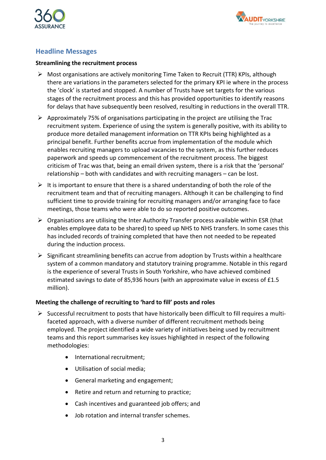



## <span id="page-3-0"></span>**Headline Messages**

#### **Streamlining the recruitment process**

- $\triangleright$  Most organisations are actively monitoring Time Taken to Recruit (TTR) KPIs, although there are variations in the parameters selected for the primary KPI ie where in the process the 'clock' is started and stopped. A number of Trusts have set targets for the various stages of the recruitment process and this has provided opportunities to identify reasons for delays that have subsequently been resolved, resulting in reductions in the overall TTR.
- $\triangleright$  Approximately 75% of organisations participating in the project are utilising the Trac recruitment system. Experience of using the system is generally positive, with its ability to produce more detailed management information on TTR KPIs being highlighted as a principal benefit. Further benefits accrue from implementation of the module which enables recruiting managers to upload vacancies to the system, as this further reduces paperwork and speeds up commencement of the recruitment process. The biggest criticism of Trac was that, being an email driven system, there is a risk that the 'personal' relationship – both with candidates and with recruiting managers – can be lost.
- $\triangleright$  It is important to ensure that there is a shared understanding of both the role of the recruitment team and that of recruiting managers. Although it can be challenging to find sufficient time to provide training for recruiting managers and/or arranging face to face meetings, those teams who were able to do so reported positive outcomes.
- $\triangleright$  Organisations are utilising the Inter Authority Transfer process available within ESR (that enables employee data to be shared) to speed up NHS to NHS transfers. In some cases this has included records of training completed that have then not needed to be repeated during the induction process.
- $\triangleright$  Significant streamlining benefits can accrue from adoption by Trusts within a healthcare system of a common mandatory and statutory training programme. Notable in this regard is the experience of several Trusts in South Yorkshire, who have achieved combined estimated savings to date of 85,936 hours (with an approximate value in excess of £1.5 million).

#### **Meeting the challenge of recruiting to 'hard to fill' posts and roles**

- $\triangleright$  Successful recruitment to posts that have historically been difficult to fill requires a multifaceted approach, with a diverse number of different recruitment methods being employed. The project identified a wide variety of initiatives being used by recruitment teams and this report summarises key issues highlighted in respect of the following methodologies:
	- International recruitment;
	- Utilisation of social media;
	- General marketing and engagement;
	- Retire and return and returning to practice:
	- Cash incentives and guaranteed job offers; and
	- Job rotation and internal transfer schemes.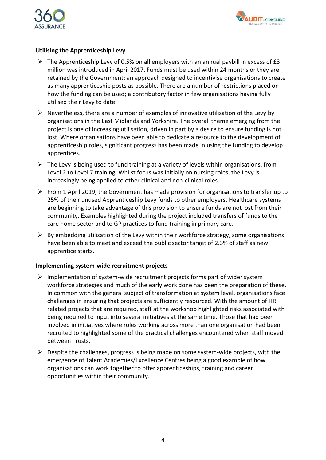



#### **Utilising the Apprenticeship Levy**

- $\triangleright$  The Apprenticeship Levy of 0.5% on all employers with an annual paybill in excess of £3 million was introduced in April 2017. Funds must be used within 24 months or they are retained by the Government; an approach designed to incentivise organisations to create as many apprenticeship posts as possible. There are a number of restrictions placed on how the funding can be used; a contributory factor in few organisations having fully utilised their Levy to date.
- $\triangleright$  Nevertheless, there are a number of examples of innovative utilisation of the Levy by organisations in the East Midlands and Yorkshire. The overall theme emerging from the project is one of increasing utilisation, driven in part by a desire to ensure funding is not lost. Where organisations have been able to dedicate a resource to the development of apprenticeship roles, significant progress has been made in using the funding to develop apprentices.
- $\triangleright$  The Levy is being used to fund training at a variety of levels within organisations, from Level 2 to Level 7 training. Whilst focus was initially on nursing roles, the Levy is increasingly being applied to other clinical and non-clinical roles.
- From 1 April 2019, the Government has made provision for organisations to transfer up to 25% of their unused Apprenticeship Levy funds to other employers. Healthcare systems are beginning to take advantage of this provision to ensure funds are not lost from their community. Examples highlighted during the project included transfers of funds to the care home sector and to GP practices to fund training in primary care.
- $\triangleright$  By embedding utilisation of the Levy within their workforce strategy, some organisations have been able to meet and exceed the public sector target of 2.3% of staff as new apprentice starts.

#### **Implementing system-wide recruitment projects**

- $\triangleright$  Implementation of system-wide recruitment projects forms part of wider system workforce strategies and much of the early work done has been the preparation of these. In common with the general subject of transformation at system level, organisations face challenges in ensuring that projects are sufficiently resourced. With the amount of HR related projects that are required, staff at the workshop highlighted risks associated with being required to input into several initiatives at the same time. Those that had been involved in initiatives where roles working across more than one organisation had been recruited to highlighted some of the practical challenges encountered when staff moved between Trusts.
- <span id="page-4-0"></span> $\triangleright$  Despite the challenges, progress is being made on some system-wide projects, with the emergence of Talent Academies/Excellence Centres being a good example of how organisations can work together to offer apprenticeships, training and career opportunities within their community.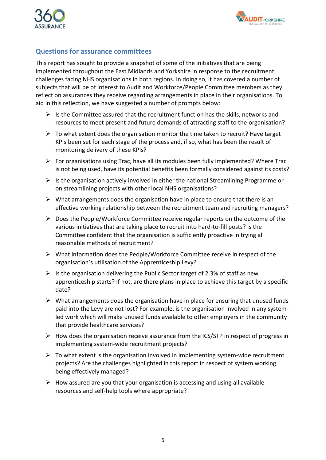



## **Questions for assurance committees**

This report has sought to provide a snapshot of some of the initiatives that are being implemented throughout the East Midlands and Yorkshire in response to the recruitment challenges facing NHS organisations in both regions. In doing so, it has covered a number of subjects that will be of interest to Audit and Workforce/People Committee members as they reflect on assurances they receive regarding arrangements in place in their organisations. To aid in this reflection, we have suggested a number of prompts below:

- $\triangleright$  Is the Committee assured that the recruitment function has the skills, networks and resources to meet present and future demands of attracting staff to the organisation?
- $\triangleright$  To what extent does the organisation monitor the time taken to recruit? Have target KPIs been set for each stage of the process and, if so, what has been the result of monitoring delivery of these KPIs?
- $\triangleright$  For organisations using Trac, have all its modules been fully implemented? Where Trac is not being used, have its potential benefits been formally considered against its costs?
- $\triangleright$  Is the organisation actively involved in either the national Streamlining Programme or on streamlining projects with other local NHS organisations?
- $\triangleright$  What arrangements does the organisation have in place to ensure that there is an effective working relationship between the recruitment team and recruiting managers?
- $\triangleright$  Does the People/Workforce Committee receive regular reports on the outcome of the various initiatives that are taking place to recruit into hard-to-fill posts? Is the Committee confident that the organisation is sufficiently proactive in trying all reasonable methods of recruitment?
- $\triangleright$  What information does the People/Workforce Committee receive in respect of the organisation's utilisation of the Apprenticeship Levy?
- $\triangleright$  Is the organisation delivering the Public Sector target of 2.3% of staff as new apprenticeship starts? If not, are there plans in place to achieve this target by a specific date?
- $\triangleright$  What arrangements does the organisation have in place for ensuring that unused funds paid into the Levy are not lost? For example, is the organisation involved in any systemled work which will make unused funds available to other employers in the community that provide healthcare services?
- $\triangleright$  How does the organisation receive assurance from the ICS/STP in respect of progress in implementing system-wide recruitment projects?
- $\triangleright$  To what extent is the organisation involved in implementing system-wide recruitment projects? Are the challenges highlighted in this report in respect of system working being effectively managed?
- $\triangleright$  How assured are you that your organisation is accessing and using all available resources and self-help tools where appropriate?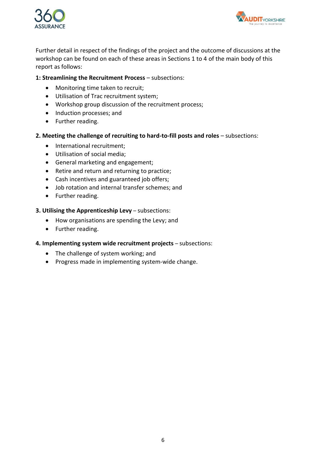



Further detail in respect of the findings of the project and the outcome of discussions at the workshop can be found on each of these areas in Sections 1 to 4 of the main body of this report as follows:

#### **1: Streamlining the Recruitment Process** – subsections:

- Monitoring time taken to recruit;
- $\bullet$  Utilisation of Trac recruitment system;
- Workshop group discussion of the recruitment process;
- Induction processes; and
- Further reading.

#### **2. Meeting the challenge of recruiting to hard-to-fill posts and roles** – subsections:

- International recruitment;
- Utilisation of social media;
- General marketing and engagement;
- Retire and return and returning to practice;
- Cash incentives and guaranteed job offers;
- Job rotation and internal transfer schemes; and
- Further reading.

#### **3. Utilising the Apprenticeship Levy** – subsections:

- How organisations are spending the Levy; and
- Further reading.

#### **4. Implementing system wide recruitment projects** – subsections:

- The challenge of system working; and
- Progress made in implementing system-wide change.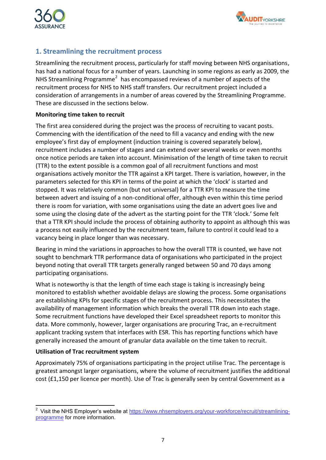



## <span id="page-7-0"></span>**1. Streamlining the recruitment process**

Streamlining the recruitment process, particularly for staff moving between NHS organisations, has had a national focus for a number of years. Launching in some regions as early as 2009, the NHS Streamlining Programme<sup>2</sup> has encompassed reviews of a number of aspects of the recruitment process for NHS to NHS staff transfers. Our recruitment project included a consideration of arrangements in a number of areas covered by the Streamlining Programme. These are discussed in the sections below.

#### **Monitoring time taken to recruit**

The first area considered during the project was the process of recruiting to vacant posts. Commencing with the identification of the need to fill a vacancy and ending with the new employee's first day of employment (induction training is covered separately below), recruitment includes a number of stages and can extend over several weeks or even months once notice periods are taken into account. Minimisation of the length of time taken to recruit (TTR) to the extent possible is a common goal of all recruitment functions and most organisations actively monitor the TTR against a KPI target. There is variation, however, in the parameters selected for this KPI in terms of the point at which the 'clock' is started and stopped. It was relatively common (but not universal) for a TTR KPI to measure the time between advert and issuing of a non-conditional offer, although even within this time period there is room for variation, with some organisations using the date an advert goes live and some using the closing date of the advert as the starting point for the TTR 'clock.' Some felt that a TTR KPI should include the process of obtaining authority to appoint as although this was a process not easily influenced by the recruitment team, failure to control it could lead to a vacancy being in place longer than was necessary.

Bearing in mind the variations in approaches to how the overall TTR is counted, we have not sought to benchmark TTR performance data of organisations who participated in the project beyond noting that overall TTR targets generally ranged between 50 and 70 days among participating organisations.

What is noteworthy is that the length of time each stage is taking is increasingly being monitored to establish whether avoidable delays are slowing the process. Some organisations are establishing KPIs for specific stages of the recruitment process. This necessitates the availability of management information which breaks the overall TTR down into each stage. Some recruitment functions have developed their Excel spreadsheet reports to monitor this data. More commonly, however, larger organisations are procuring Trac, an e-recruitment applicant tracking system that interfaces with ESR. This has reporting functions which have generally increased the amount of granular data available on the time taken to recruit.

#### **Utilisation of Trac recruitment system**

Approximately 75% of organisations participating in the project utilise Trac. The percentage is greatest amongst larger organisations, where the volume of recruitment justifies the additional cost (£1,150 per licence per month). Use of Trac is generally seen by central Government as a

 2 Visit the NHS Employer's website at [https://www.nhsemployers.org/your-workforce/recruit/streamlining](https://www.nhsemployers.org/your-workforce/recruit/streamlining-programme)[programme](https://www.nhsemployers.org/your-workforce/recruit/streamlining-programme) for more information.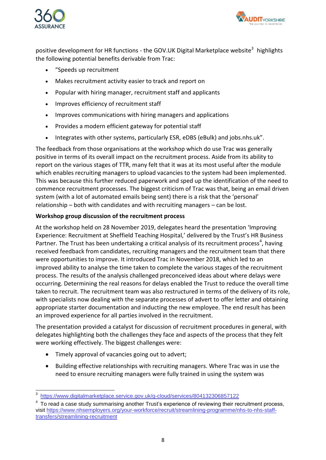



positive development for HR functions - the GOV.UK Digital Marketplace website<sup>3</sup> highlights the following potential benefits derivable from Trac:

- "Speeds up recruitment
- Makes recruitment activity easier to track and report on
- Popular with hiring manager, recruitment staff and applicants
- Improves efficiency of recruitment staff
- Improves communications with hiring managers and applications
- Provides a modern efficient gateway for potential staff
- Integrates with other systems, particularly ESR, eDBS (eBulk) and jobs.nhs.uk".

The feedback from those organisations at the workshop which do use Trac was generally positive in terms of its overall impact on the recruitment process. Aside from its ability to report on the various stages of TTR, many felt that it was at its most useful after the module which enables recruiting managers to upload vacancies to the system had been implemented. This was because this further reduced paperwork and sped up the identification of the need to commence recruitment processes. The biggest criticism of Trac was that, being an email driven system (with a lot of automated emails being sent) there is a risk that the 'personal' relationship – both with candidates and with recruiting managers – can be lost.

#### **Workshop group discussion of the recruitment process**

At the workshop held on 28 November 2019, delegates heard the presentation 'Improving Experience: Recruitment at Sheffield Teaching Hospital,' delivered by the Trust's HR Business Partner. The Trust has been undertaking a critical analysis of its recruitment process<sup>4</sup>, having received feedback from candidates, recruiting managers and the recruitment team that there were opportunities to improve. It introduced Trac in November 2018, which led to an improved ability to analyse the time taken to complete the various stages of the recruitment process. The results of the analysis challenged preconceived ideas about where delays were occurring. Determining the real reasons for delays enabled the Trust to reduce the overall time taken to recruit. The recruitment team was also restructured in terms of the delivery of its role, with specialists now dealing with the separate processes of advert to offer letter and obtaining appropriate starter documentation and inducting the new employee. The end result has been an improved experience for all parties involved in the recruitment.

The presentation provided a catalyst for discussion of recruitment procedures in general, with delegates highlighting both the challenges they face and aspects of the process that they felt were working effectively. The biggest challenges were:

- Timely approval of vacancies going out to advert;
- Building effective relationships with recruiting managers. Where Trac was in use the need to ensure recruiting managers were fully trained in using the system was

<sup>-&</sup>lt;br>3 <https://www.digitalmarketplace.service.gov.uk/g-cloud/services/804132306857122>

<sup>4</sup> To read a case study summarising another Trust's experience of reviewing their recruitment process, visit [https://www.nhsemployers.org/your-workforce/recruit/streamlining-programme/nhs-to-nhs-staff](https://www.nhsemployers.org/your-workforce/recruit/streamlining-programme/nhs-to-nhs-staff-transfers/streamlining-recruitment)[transfers/streamlining-recruitment](https://www.nhsemployers.org/your-workforce/recruit/streamlining-programme/nhs-to-nhs-staff-transfers/streamlining-recruitment)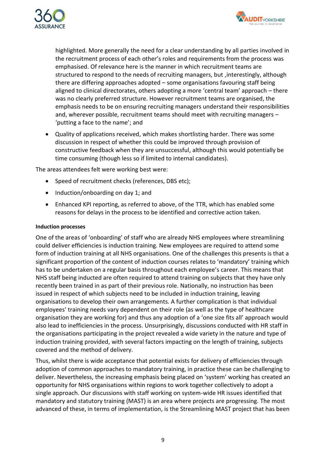



highlighted. More generally the need for a clear understanding by all parties involved in the recruitment process of each other's roles and requirements from the process was emphasised. Of relevance here is the manner in which recruitment teams are structured to respond to the needs of recruiting managers, but ,interestingly, although there are differing approaches adopted – some organisations favouring staff being aligned to clinical directorates, others adopting a more 'central team' approach – there was no clearly preferred structure. However recruitment teams are organised, the emphasis needs to be on ensuring recruiting managers understand their responsibilities and, wherever possible, recruitment teams should meet with recruiting managers – 'putting a face to the name'; and

 Quality of applications received, which makes shortlisting harder. There was some discussion in respect of whether this could be improved through provision of constructive feedback when they are unsuccessful, although this would potentially be time consuming (though less so if limited to internal candidates).

The areas attendees felt were working best were:

- Speed of recruitment checks (references, DBS etc);
- $\bullet$  Induction/onboarding on day 1; and
- Enhanced KPI reporting, as referred to above, of the TTR, which has enabled some reasons for delays in the process to be identified and corrective action taken.

#### **Induction processes**

One of the areas of 'onboarding' of staff who are already NHS employees where streamlining could deliver efficiencies is induction training. New employees are required to attend some form of induction training at all NHS organisations. One of the challenges this presents is that a significant proportion of the content of induction courses relates to 'mandatory' training which has to be undertaken on a regular basis throughout each employee's career. This means that NHS staff being inducted are often required to attend training on subjects that they have only recently been trained in as part of their previous role. Nationally, no instruction has been issued in respect of which subjects need to be included in induction training, leaving organisations to develop their own arrangements. A further complication is that individual employees' training needs vary dependent on their role (as well as the type of healthcare organisation they are working for) and thus any adoption of a 'one size fits all' approach would also lead to inefficiencies in the process. Unsurprisingly, discussions conducted with HR staff in the organisations participating in the project revealed a wide variety in the nature and type of induction training provided, with several factors impacting on the length of training, subjects covered and the method of delivery.

Thus, whilst there is wide acceptance that potential exists for delivery of efficiencies through adoption of common approaches to mandatory training, in practice these can be challenging to deliver. Nevertheless, the increasing emphasis being placed on 'system' working has created an opportunity for NHS organisations within regions to work together collectively to adopt a single approach. Our discussions with staff working on system-wide HR issues identified that mandatory and statutory training (MAST) is an area where projects are progressing. The most advanced of these, in terms of implementation, is the Streamlining MAST project that has been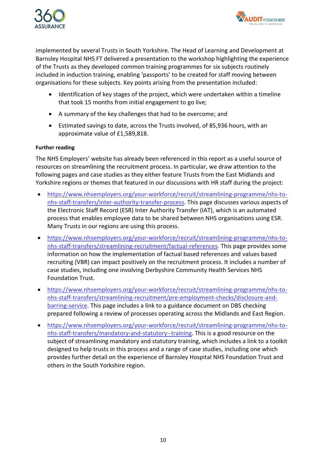



implemented by several Trusts in South Yorkshire. The Head of Learning and Development at Barnsley Hospital NHS FT delivered a presentation to the workshop highlighting the experience of the Trusts as they developed common training programmes for six subjects routinely included in induction training, enabling 'passports' to be created for staff moving between organisations for these subjects. Key points arising from the presentation included:

- Identification of key stages of the project, which were undertaken within a timeline that took 15 months from initial engagement to go live;
- A summary of the key challenges that had to be overcome; and
- Estimated savings to date, across the Trusts involved, of 85,936 hours, with an approximate value of £1,589,818.

#### **Further reading**

The NHS Employers' website has already been referenced in this report as a useful source of resources on streamlining the recruitment process. In particular, we draw attention to the following pages and case studies as they either feature Trusts from the East Midlands and Yorkshire regions or themes that featured in our discussions with HR staff during the project:

- [https://www.nhsemployers.org/your-workforce/recruit/streamlining-programme/nhs-to](https://www.nhsemployers.org/your-workforce/recruit/streamlining-programme/nhs-to-nhs-staff-transfers/inter-authority-transfer-process)[nhs-staff-transfers/inter-authority-transfer-process.](https://www.nhsemployers.org/your-workforce/recruit/streamlining-programme/nhs-to-nhs-staff-transfers/inter-authority-transfer-process) This page discusses various aspects of the Electronic Staff Record (ESR) Inter Authority Transfer (IAT), which is an automated process that enables employee data to be shared between NHS organisations using ESR. Many Trusts in our regions are using this process.
- [https://www.nhsemployers.org/your-workforce/recruit/streamlining-programme/nhs-to](https://www.nhsemployers.org/your-workforce/recruit/streamlining-programme/nhs-to-nhs-staff-transfers/streamlining-recruitment/factual-references)[nhs-staff-transfers/streamlining-recruitment/factual-references.](https://www.nhsemployers.org/your-workforce/recruit/streamlining-programme/nhs-to-nhs-staff-transfers/streamlining-recruitment/factual-references) This page provides some information on how the implementation of factual based references and values based recruiting (VBR) can impact positively on the recruitment process. It includes a number of case studies, including one involving Derbyshire Community Health Services NHS Foundation Trust.
- [https://www.nhsemployers.org/your-workforce/recruit/streamlining-programme/nhs-to](https://www.nhsemployers.org/your-workforce/recruit/streamlining-programme/nhs-to-nhs-staff-transfers/streamlining-recruitment/pre-employment-checks/disclosure-and-barring-service)[nhs-staff-transfers/streamlining-recruitment/pre-employment-checks/disclosure-and](https://www.nhsemployers.org/your-workforce/recruit/streamlining-programme/nhs-to-nhs-staff-transfers/streamlining-recruitment/pre-employment-checks/disclosure-and-barring-service)[barring-service.](https://www.nhsemployers.org/your-workforce/recruit/streamlining-programme/nhs-to-nhs-staff-transfers/streamlining-recruitment/pre-employment-checks/disclosure-and-barring-service) This page includes a link to a guidance document on DBS checking prepared following a review of processes operating across the Midlands and East Region.
- [https://www.nhsemployers.org/your-workforce/recruit/streamlining-programme/nhs-to](https://www.nhsemployers.org/your-workforce/recruit/streamlining-programme/nhs-to-nhs-staff-transfers/mandatory-and-statutory--training)[nhs-staff-transfers/mandatory-and-statutory--training.](https://www.nhsemployers.org/your-workforce/recruit/streamlining-programme/nhs-to-nhs-staff-transfers/mandatory-and-statutory--training) This is a good resource on the subject of streamlining mandatory and statutory training, which includes a link to a toolkit designed to help trusts in this process and a range of case studies, including one which provides further detail on the experience of Barnsley Hospital NHS Foundation Trust and others in the South Yorkshire region.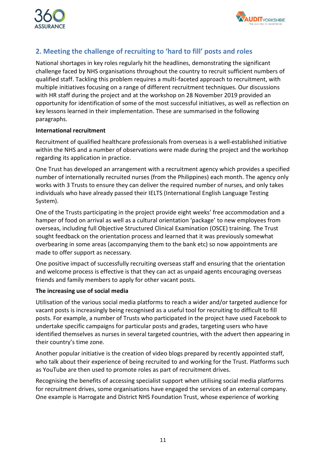



## <span id="page-11-0"></span>**2. Meeting the challenge of recruiting to 'hard to fill' posts and roles**

National shortages in key roles regularly hit the headlines, demonstrating the significant challenge faced by NHS organisations throughout the country to recruit sufficient numbers of qualified staff. Tackling this problem requires a multi-faceted approach to recruitment, with multiple initiatives focusing on a range of different recruitment techniques. Our discussions with HR staff during the project and at the workshop on 28 November 2019 provided an opportunity for identification of some of the most successful initiatives, as well as reflection on key lessons learned in their implementation. These are summarised in the following paragraphs.

#### **International recruitment**

Recruitment of qualified healthcare professionals from overseas is a well-established initiative within the NHS and a number of observations were made during the project and the workshop regarding its application in practice.

One Trust has developed an arrangement with a recruitment agency which provides a specified number of internationally recruited nurses (from the Philippines) each month. The agency only works with 3 Trusts to ensure they can deliver the required number of nurses, and only takes individuals who have already passed their IELTS (International English Language Testing System).

One of the Trusts participating in the project provide eight weeks' free accommodation and a hamper of food on arrival as well as a cultural orientation 'package' to new employees from overseas, including full Objective Structured Clinical Examination (OSCE) training. The Trust sought feedback on the orientation process and learned that it was previously somewhat overbearing in some areas (accompanying them to the bank etc) so now appointments are made to offer support as necessary.

One positive impact of successfully recruiting overseas staff and ensuring that the orientation and welcome process is effective is that they can act as unpaid agents encouraging overseas friends and family members to apply for other vacant posts.

#### **The increasing use of social media**

Utilisation of the various social media platforms to reach a wider and/or targeted audience for vacant posts is increasingly being recognised as a useful tool for recruiting to difficult to fill posts. For example, a number of Trusts who participated in the project have used Facebook to undertake specific campaigns for particular posts and grades, targeting users who have identified themselves as nurses in several targeted countries, with the advert then appearing in their country's time zone.

Another popular initiative is the creation of video blogs prepared by recently appointed staff, who talk about their experience of being recruited to and working for the Trust. Platforms such as YouTube are then used to promote roles as part of recruitment drives.

Recognising the benefits of accessing specialist support when utilising social media platforms for recruitment drives, some organisations have engaged the services of an external company. One example is Harrogate and District NHS Foundation Trust, whose experience of working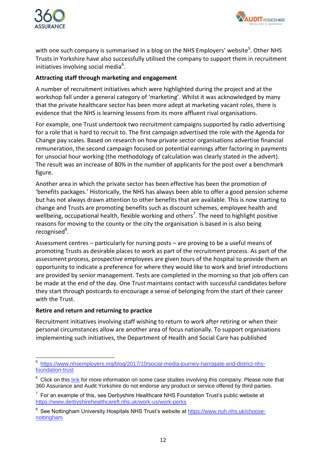



with one such company is summarised in a blog on the NHS Employers' website<sup>5</sup>. Other NHS Trusts in Yorkshire have also successfully utilised the company to support them in recruitment initiatives involving social media<sup>6</sup>.

#### **Attracting staff through marketing and engagement**

A number of recruitment initiatives which were highlighted during the project and at the workshop fall under a general category of 'marketing'. Whilst it was acknowledged by many that the private healthcare sector has been more adept at marketing vacant roles, there is evidence that the NHS is learning lessons from its more affluent rival organisations.

For example, one Trust undertook two recruitment campaigns supported by radio advertising for a role that is hard to recruit to. The first campaign advertised the role with the Agenda for Change pay scales. Based on research on how private sector organisations advertise financial remuneration, the second campaign focused on potential earnings after factoring in payments for unsocial hour working (the methodology of calculation was clearly stated in the advert). The result was an increase of 80% in the number of applicants for the post over a benchmark figure.

Another area in which the private sector has been effective has been the promotion of 'benefits packages.' Historically, the NHS has always been able to offer a good pension scheme but has not always drawn attention to other benefits that are available. This is now starting to change and Trusts are promoting benefits such as discount schemes, employee health and wellbeing, occupational health, flexible working and others<sup>7</sup>. The need to highlight positive reasons for moving to the county or the city the organisation is based in is also being recognised<sup>8</sup>.

Assessment centres – particularly for nursing posts – are proving to be a useful means of promoting Trusts as desirable places to work as part of the recruitment process. As part of the assessment process, prospective employees are given tours of the hospital to provide them an opportunity to indicate a preference for where they would like to work and brief introductions are provided by senior management. Tests are completed in the morning so that job offers can be made at the end of the day. One Trust maintains contact with successful candidates before they start through postcards to encourage a sense of belonging from the start of their career with the Trust.

#### **Retire and return and returning to practice**

Recruitment initiatives involving staff wishing to return to work after retiring or when their personal circumstances allow are another area of focus nationally. To support organisations implementing such initiatives, the Department of Health and Social Care has published

 5 [https://www.nhsemployers.org/blog/2017/10/social-media-journey-harrogate-and-district-nhs](https://www.nhsemployers.org/blog/2017/10/social-media-journey-harrogate-and-district-nhs-foundation-trust)[foundation-trust](https://www.nhsemployers.org/blog/2017/10/social-media-journey-harrogate-and-district-nhs-foundation-trust)

 $6$  Click on this [link](https://www.just-r.com/our-work/) for more information on some case studies involving this company. Please note that 360 Assurance and Audit Yorkshire do not endorse any product or service offered by third parties.

 $7$  For an example of this, see Derbyshire Healthcare NHS Foundation Trust's public website at <https://www.derbyshirehealthcareft.nhs.uk/work-us/work-perks>

<sup>&</sup>lt;sup>8</sup> See Nottingham University Hospitals NHS Trust's website at [https://www.nuh.nhs.uk/choose](https://www.nuh.nhs.uk/choose-nottingham)[nottingham](https://www.nuh.nhs.uk/choose-nottingham)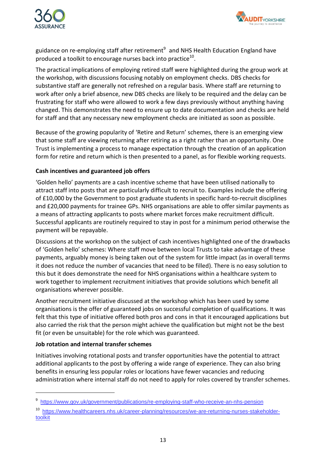



guidance on re-employing staff after retirement<sup>9</sup> and NHS Health Education England have produced a toolkit to encourage nurses back into practice $^{10}$ .

The practical implications of employing retired staff were highlighted during the group work at the workshop, with discussions focusing notably on employment checks. DBS checks for substantive staff are generally not refreshed on a regular basis. Where staff are returning to work after only a brief absence, new DBS checks are likely to be required and the delay can be frustrating for staff who were allowed to work a few days previously without anything having changed. This demonstrates the need to ensure up to date documentation and checks are held for staff and that any necessary new employment checks are initiated as soon as possible.

Because of the growing popularity of 'Retire and Return' schemes, there is an emerging view that some staff are viewing returning after retiring as a right rather than an opportunity. One Trust is implementing a process to manage expectation through the creation of an application form for retire and return which is then presented to a panel, as for flexible working requests.

#### **Cash incentives and guaranteed job offers**

'Golden hello' payments are a cash incentive scheme that have been utilised nationally to attract staff into posts that are particularly difficult to recruit to. Examples include the offering of £10,000 by the Government to post graduate students in specific hard-to-recruit disciplines and £20,000 payments for trainee GPs. NHS organisations are able to offer similar payments as a means of attracting applicants to posts where market forces make recruitment difficult. Successful applicants are routinely required to stay in post for a minimum period otherwise the payment will be repayable.

Discussions at the workshop on the subject of cash incentives highlighted one of the drawbacks of 'Golden hello' schemes: Where staff move between local Trusts to take advantage of these payments, arguably money is being taken out of the system for little impact (as in overall terms it does not reduce the number of vacancies that need to be filled). There is no easy solution to this but it does demonstrate the need for NHS organisations within a healthcare system to work together to implement recruitment initiatives that provide solutions which benefit all organisations wherever possible.

Another recruitment initiative discussed at the workshop which has been used by some organisations is the offer of guaranteed jobs on successful completion of qualifications. It was felt that this type of initiative offered both pros and cons in that it encouraged applications but also carried the risk that the person might achieve the qualification but might not be the best fit (or even be unsuitable) for the role which was guaranteed.

#### **Job rotation and internal transfer schemes**

 $\overline{a}$ 

Initiatives involving rotational posts and transfer opportunities have the potential to attract additional applicants to the post by offering a wide range of experience. They can also bring benefits in ensuring less popular roles or locations have fewer vacancies and reducing administration where internal staff do not need to apply for roles covered by transfer schemes.

<sup>&</sup>lt;sup>9</sup> <https://www.gov.uk/government/publications/re-employing-staff-who-receive-an-nhs-pension>

<sup>10</sup> [https://www.healthcareers.nhs.uk/career-planning/resources/we-are-returning-nurses-stakeholder](https://www.healthcareers.nhs.uk/career-planning/resources/we-are-returning-nurses-stakeholder-toolkit)[toolkit](https://www.healthcareers.nhs.uk/career-planning/resources/we-are-returning-nurses-stakeholder-toolkit)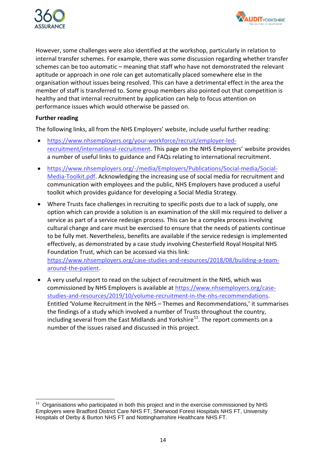



However, some challenges were also identified at the workshop, particularly in relation to internal transfer schemes. For example, there was some discussion regarding whether transfer schemes can be too automatic – meaning that staff who have not demonstrated the relevant aptitude or approach in one role can get automatically placed somewhere else in the organisation without issues being resolved. This can have a detrimental effect in the area the member of staff is transferred to. Some group members also pointed out that competition is healthy and that internal recruitment by application can help to focus attention on performance issues which would otherwise be passed on.

#### **Further reading**

The following links, all from the NHS Employers' website, include useful further reading:

- [https://www.nhsemployers.org/your-workforce/recruit/employer-led](https://www.nhsemployers.org/your-workforce/recruit/employer-led-recruitment/international-recruitment)[recruitment/international-recruitment.](https://www.nhsemployers.org/your-workforce/recruit/employer-led-recruitment/international-recruitment) This page on the NHS Employers' website provides a number of useful links to guidance and FAQs relating to international recruitment.
- [https://www.nhsemployers.org/-/media/Employers/Publications/Social-media/Social-](https://www.nhsemployers.org/-/media/Employers/Publications/Social-media/Social-Media-Toolkit.pdf)[Media-Toolkit.pdf.](https://www.nhsemployers.org/-/media/Employers/Publications/Social-media/Social-Media-Toolkit.pdf) Acknowledging the increasing use of social media for recruitment and communication with employees and the public, NHS Employers have produced a useful toolkit which provides guidance for developing a Social Media Strategy.
- Where Trusts face challenges in recruiting to specific posts due to a lack of supply, one option which can provide a solution is an examination of the skill mix required to deliver a service as part of a service redesign process. This can be a complex process involving cultural change and care must be exercised to ensure that the needs of patients continue to be fully met. Nevertheless, benefits are available if the service redesign is implemented effectively, as demonstrated by a case study involving Chesterfield Royal Hospital NHS Foundation Trust, which can be accessed via this link: [https://www.nhsemployers.org/case-studies-and-resources/2018/08/building-a-team](https://www.nhsemployers.org/case-studies-and-resources/2018/08/building-a-team-around-the-patient)[around-the-patient.](https://www.nhsemployers.org/case-studies-and-resources/2018/08/building-a-team-around-the-patient)
- A very useful report to read on the subject of recruitment in the NHS, which was commissioned by NHS Employers is available at [https://www.nhsemployers.org/case](https://www.nhsemployers.org/case-studies-and-resources/2019/10/volume-recruitment-in-the-nhs-recommendations)[studies-and-resources/2019/10/volume-recruitment-in-the-nhs-recommendations.](https://www.nhsemployers.org/case-studies-and-resources/2019/10/volume-recruitment-in-the-nhs-recommendations) Entitled 'Volume Recruitment in the NHS – Themes and Recommendations,' it summarises the findings of a study which involved a number of Trusts throughout the country, including several from the East Midlands and Yorkshire<sup>11</sup>. The report comments on a number of the issues raised and discussed in this project.

 $\overline{a}$  $11$  Organisations who participated in both this project and in the exercise commissioned by NHS Employers were Bradford District Care NHS FT, Sherwood Forest Hospitals NHS FT, University Hospitals of Derby & Burton NHS FT and Nottinghamshire Healthcare NHS FT.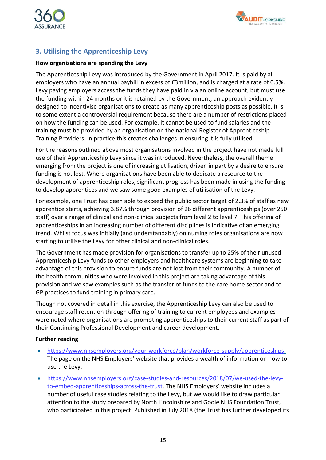



## <span id="page-15-0"></span>**3. Utilising the Apprenticeship Levy**

#### **How organisations are spending the Levy**

The Apprenticeship Levy was introduced by the Government in April 2017. It is paid by all employers who have an annual paybill in excess of £3million, and is charged at a rate of 0.5%. Levy paying employers access the funds they have paid in via an online account, but must use the funding within 24 months or it is retained by the Government; an approach evidently designed to incentivise organisations to create as many apprenticeship posts as possible. It is to some extent a controversial requirement because there are a number of restrictions placed on how the funding can be used. For example, it cannot be used to fund salaries and the training must be provided by an organisation on the national Register of Apprenticeship Training Providers. In practice this creates challenges in ensuring it is fully utilised.

For the reasons outlined above most organisations involved in the project have not made full use of their Apprenticeship Levy since it was introduced. Nevertheless, the overall theme emerging from the project is one of increasing utilisation, driven in part by a desire to ensure funding is not lost. Where organisations have been able to dedicate a resource to the development of apprenticeship roles, significant progress has been made in using the funding to develop apprentices and we saw some good examples of utilisation of the Levy.

For example, one Trust has been able to exceed the public sector target of 2.3% of staff as new apprentice starts, achieving 3.87% through provision of 26 different apprenticeships (over 250 staff) over a range of clinical and non-clinical subjects from level 2 to level 7. This offering of apprenticeships in an increasing number of different disciplines is indicative of an emerging trend. Whilst focus was initially (and understandably) on nursing roles organisations are now starting to utilise the Levy for other clinical and non-clinical roles.

The Government has made provision for organisations to transfer up to 25% of their unused Apprenticeship Levy funds to other employers and healthcare systems are beginning to take advantage of this provision to ensure funds are not lost from their community. A number of the health communities who were involved in this project are taking advantage of this provision and we saw examples such as the transfer of funds to the care home sector and to GP practices to fund training in primary care.

Though not covered in detail in this exercise, the Apprenticeship Levy can also be used to encourage staff retention through offering of training to current employees and examples were noted where organisations are promoting apprenticeships to their current staff as part of their Continuing Professional Development and career development.

#### **Further reading**

- [https://www.nhsemployers.org/your-workforce/plan/workforce-supply/apprenticeships.](https://www.nhsemployers.org/your-workforce/plan/workforce-supply/apprenticeships) The page on the NHS Employers' website that provides a wealth of information on how to use the Levy.
- [https://www.nhsemployers.org/case-studies-and-resources/2018/07/we-used-the-levy](https://www.nhsemployers.org/case-studies-and-resources/2018/07/we-used-the-levy-to-embed-apprenticeships-across-the-trust)[to-embed-apprenticeships-across-the-trust.](https://www.nhsemployers.org/case-studies-and-resources/2018/07/we-used-the-levy-to-embed-apprenticeships-across-the-trust) The NHS Employers' website includes a number of useful case studies relating to the Levy, but we would like to draw particular attention to the study prepared by North Lincolnshire and Goole NHS Foundation Trust, who participated in this project. Published in July 2018 (the Trust has further developed its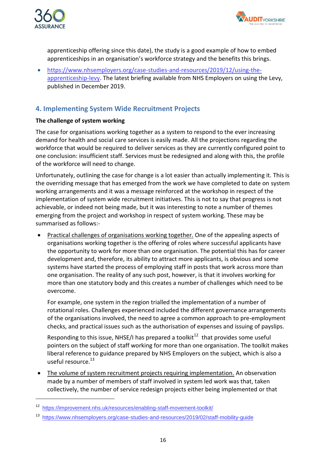



apprenticeship offering since this date), the study is a good example of how to embed apprenticeships in an organisation's workforce strategy and the benefits this brings.

 [https://www.nhsemployers.org/case-studies-and-resources/2019/12/using-the](https://www.nhsemployers.org/case-studies-and-resources/2019/12/using-the-apprenticeship-levy)[apprenticeship-levy.](https://www.nhsemployers.org/case-studies-and-resources/2019/12/using-the-apprenticeship-levy) The latest briefing available from NHS Employers on using the Levy, published in December 2019.

## <span id="page-16-0"></span>**4. Implementing System Wide Recruitment Projects**

#### **The challenge of system working**

The case for organisations working together as a system to respond to the ever increasing demand for health and social care services is easily made. All the projections regarding the workforce that would be required to deliver services as they are currently configured point to one conclusion: insufficient staff. Services must be redesigned and along with this, the profile of the workforce will need to change.

Unfortunately, outlining the case for change is a lot easier than actually implementing it. This is the overriding message that has emerged from the work we have completed to date on system working arrangements and it was a message reinforced at the workshop in respect of the implementation of system wide recruitment initiatives. This is not to say that progress is not achievable, or indeed not being made, but it was interesting to note a number of themes emerging from the project and workshop in respect of system working. These may be summarised as follows:-

 Practical challenges of organisations working together. One of the appealing aspects of organisations working together is the offering of roles where successful applicants have the opportunity to work for more than one organisation. The potential this has for career development and, therefore, its ability to attract more applicants, is obvious and some systems have started the process of employing staff in posts that work across more than one organisation. The reality of any such post, however, is that it involves working for more than one statutory body and this creates a number of challenges which need to be overcome.

For example, one system in the region trialled the implementation of a number of rotational roles. Challenges experienced included the different governance arrangements of the organisations involved, the need to agree a common approach to pre-employment checks, and practical issues such as the authorisation of expenses and issuing of payslips.

Responding to this issue, NHSE/I has prepared a toolkit<sup>12</sup> that provides some useful pointers on the subject of staff working for more than one organisation. The toolkit makes liberal reference to guidance prepared by NHS Employers on the subject, which is also a useful resource.<sup>13</sup>

 The volume of system recruitment projects requiring implementation. An observation made by a number of members of staff involved in system led work was that, taken collectively, the number of service redesign projects either being implemented or that

<sup>12</sup> <https://improvement.nhs.uk/resources/enabling-staff-movement-toolkit/>

<sup>13</sup> <https://www.nhsemployers.org/case-studies-and-resources/2019/02/staff-mobility-guide>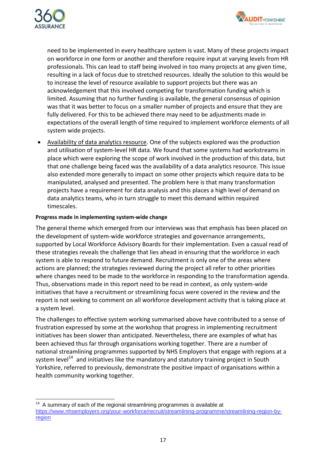



need to be implemented in every healthcare system is vast. Many of these projects impact on workforce in one form or another and therefore require input at varying levels from HR professionals. This can lead to staff being involved in too many projects at any given time, resulting in a lack of focus due to stretched resources. Ideally the solution to this would be to increase the level of resource available to support projects but there was an acknowledgement that this involved competing for transformation funding which is limited. Assuming that no further funding is available, the general consensus of opinion was that it was better to focus on a smaller number of projects and ensure that they are fully delivered. For this to be achieved there may need to be adjustments made in expectations of the overall length of time required to implement workforce elements of all system wide projects.

 Availability of data analytics resource. One of the subjects explored was the production and utilisation of system-level HR data. We found that some systems had workstreams in place which were exploring the scope of work involved in the production of this data, but that one challenge being faced was the availability of a data analytics resource. This issue also extended more generally to impact on some other projects which require data to be manipulated, analysed and presented. The problem here is that many transformation projects have a requirement for data analysis and this places a high level of demand on data analytics teams, who in turn struggle to meet this demand within required timescales.

#### **Progress made in implementing system-wide change**

The general theme which emerged from our interviews was that emphasis has been placed on the development of system-wide workforce strategies and governance arrangements, supported by Local Workforce Advisory Boards for their implementation. Even a casual read of these strategies reveals the challenge that lies ahead in ensuring that the workforce in each system is able to respond to future demand. Recruitment is only one of the areas where actions are planned; the strategies reviewed during the project all refer to other priorities where changes need to be made to the workforce in responding to the transformation agenda. Thus, observations made in this report need to be read in context, as only system-wide initiatives that have a recruitment or streamlining focus were covered in the review and the report is not seeking to comment on all workforce development activity that is taking place at a system level.

The challenges to effective system working summarised above have contributed to a sense of frustration expressed by some at the workshop that progress in implementing recruitment initiatives has been slower than anticipated. Nevertheless, there are examples of what has been achieved thus far through organisations working together. There are a number of national streamlining programmes supported by NHS Employers that engage with regions at a system level<sup>14</sup> and initiatives like the mandatory and statutory training project in South Yorkshire, referred to previously, demonstrate the positive impact of organisations within a health community working together.

 $\overline{a}$  $14$  A summary of each of the regional streamlining programmes is available at [https://www.nhsemployers.org/your-workforce/recruit/streamlining-programme/streamlining-region-by](https://www.nhsemployers.org/your-workforce/recruit/streamlining-programme/streamlining-region-by-region)[region](https://www.nhsemployers.org/your-workforce/recruit/streamlining-programme/streamlining-region-by-region)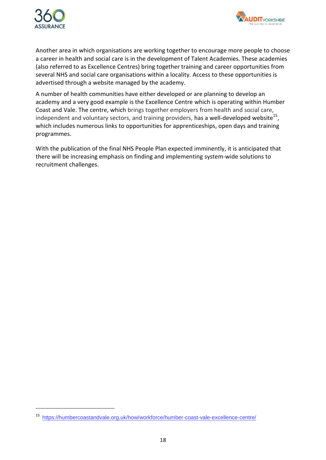



Another area in which organisations are working together to encourage more people to choose a career in health and social care is in the development of Talent Academies. These academies (also referred to as Excellence Centres) bring together training and career opportunities from several NHS and social care organisations within a locality. Access to these opportunities is advertised through a website managed by the academy.

A number of health communities have either developed or are planning to develop an academy and a very good example is the Excellence Centre which is operating within Humber Coast and Vale. The centre, which brings together employers from health and social care, independent and voluntary sectors, and training providers, has a well-developed website<sup>15</sup>, which includes numerous links to opportunities for apprenticeships, open days and training programmes.

With the publication of the final NHS People Plan expected imminently, it is anticipated that there will be increasing emphasis on finding and implementing system-wide solutions to recruitment challenges.

<sup>15</sup> <https://humbercoastandvale.org.uk/how/workforce/humber-coast-vale-excellence-centre/>